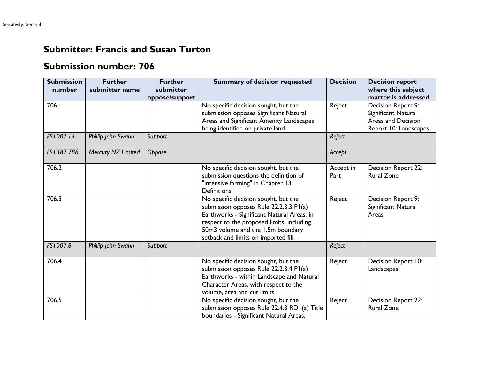## **Submitter: Francis and Susan Turton**

## **Submission number: 706**

| <b>Submission</b><br>number | <b>Further</b><br>submitter name | <b>Further</b><br>submitter<br>oppose/support | <b>Summary of decision requested</b>                                                                                                                                                                                                                   | <b>Decision</b>   | <b>Decision report</b><br>where this subject<br>matter is addressed                      |
|-----------------------------|----------------------------------|-----------------------------------------------|--------------------------------------------------------------------------------------------------------------------------------------------------------------------------------------------------------------------------------------------------------|-------------------|------------------------------------------------------------------------------------------|
| 706.I                       |                                  |                                               | No specific decision sought, but the<br>submission opposes Significant Natural<br>Areas and Significant Amenity Landscapes<br>being identified on private land.                                                                                        | Reject            | Decision Report 9:<br>Significant Natural<br>Areas and Decision<br>Report 10: Landscapes |
| FS1007.14                   | Phillip John Swann               | Support                                       |                                                                                                                                                                                                                                                        | Reject            |                                                                                          |
| FS1387.786                  | Mercury NZ Limited               | Oppose                                        |                                                                                                                                                                                                                                                        | Accept            |                                                                                          |
| 706.2                       |                                  |                                               | No specific decision sought, but the<br>submission questions the definition of<br>"intensive farming" in Chapter 13<br>Definitions.                                                                                                                    | Accept in<br>Part | Decision Report 22:<br><b>Rural Zone</b>                                                 |
| 706.3                       |                                  |                                               | No specific decision sought, but the<br>submission opposes Rule 22.2.3.3 PI(a)<br>Earthworks - Significant Natural Areas, in<br>respect to the proposed limits, including<br>50m3 volume and the 1.5m boundary<br>setback and limits on imported fill. | Reject            | Decision Report 9:<br>Significant Natural<br>Areas                                       |
| FS1007.8                    | Phillip John Swann               | Support                                       |                                                                                                                                                                                                                                                        | Reject            |                                                                                          |
| 706.4                       |                                  |                                               | No specific decision sought, but the<br>submission opposes Rule 22.2.3.4 PI(a)<br>Earthworks - within Landscape and Natural<br>Character Areas, with respect to the<br>volume, area and cut limits.                                                    | Reject            | Decision Report 10:<br>Landscapes                                                        |
| 706.5                       |                                  |                                               | No specific decision sought, but the<br>submission opposes Rule 22.4.3 RDI(a) Title<br>boundaries - Significant Natural Areas,                                                                                                                         | Reject            | Decision Report 22:<br><b>Rural Zone</b>                                                 |